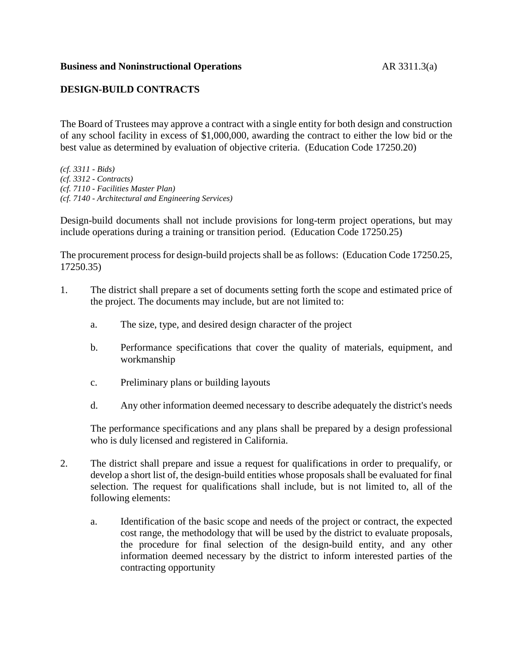## **DESIGN-BUILD CONTRACTS**

The Board of Trustees may approve a contract with a single entity for both design and construction of any school facility in excess of \$1,000,000, awarding the contract to either the low bid or the best value as determined by evaluation of objective criteria. (Education Code 17250.20)

*(cf. 3311 - Bids) (cf. 3312 - Contracts) (cf. 7110 - Facilities Master Plan) (cf. 7140 - Architectural and Engineering Services)*

Design-build documents shall not include provisions for long-term project operations, but may include operations during a training or transition period. (Education Code 17250.25)

The procurement process for design-build projects shall be as follows: (Education Code 17250.25, 17250.35)

- 1. The district shall prepare a set of documents setting forth the scope and estimated price of the project. The documents may include, but are not limited to:
	- a. The size, type, and desired design character of the project
	- b. Performance specifications that cover the quality of materials, equipment, and workmanship
	- c. Preliminary plans or building layouts
	- d. Any other information deemed necessary to describe adequately the district's needs

The performance specifications and any plans shall be prepared by a design professional who is duly licensed and registered in California.

- 2. The district shall prepare and issue a request for qualifications in order to prequalify, or develop a short list of, the design-build entities whose proposals shall be evaluated for final selection. The request for qualifications shall include, but is not limited to, all of the following elements:
	- a. Identification of the basic scope and needs of the project or contract, the expected cost range, the methodology that will be used by the district to evaluate proposals, the procedure for final selection of the design-build entity, and any other information deemed necessary by the district to inform interested parties of the contracting opportunity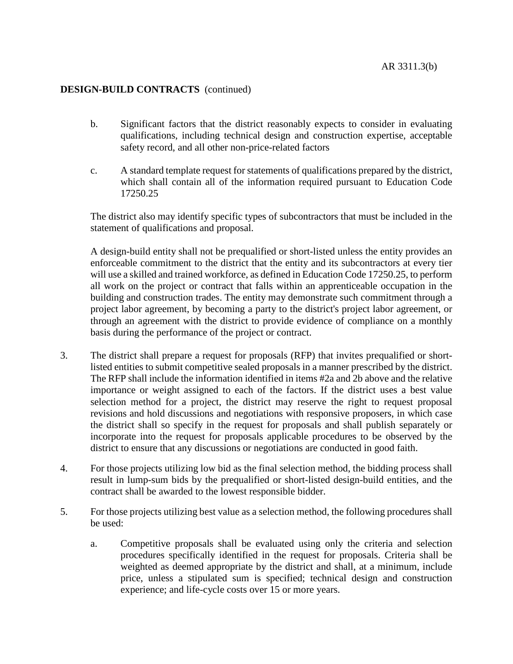## **DESIGN-BUILD CONTRACTS** (continued)

- b. Significant factors that the district reasonably expects to consider in evaluating qualifications, including technical design and construction expertise, acceptable safety record, and all other non-price-related factors
- c. A standard template request for statements of qualifications prepared by the district, which shall contain all of the information required pursuant to Education Code 17250.25

The district also may identify specific types of subcontractors that must be included in the statement of qualifications and proposal.

A design-build entity shall not be prequalified or short-listed unless the entity provides an enforceable commitment to the district that the entity and its subcontractors at every tier will use a skilled and trained workforce, as defined in Education Code 17250.25, to perform all work on the project or contract that falls within an apprenticeable occupation in the building and construction trades. The entity may demonstrate such commitment through a project labor agreement, by becoming a party to the district's project labor agreement, or through an agreement with the district to provide evidence of compliance on a monthly basis during the performance of the project or contract.

- 3. The district shall prepare a request for proposals (RFP) that invites prequalified or shortlisted entities to submit competitive sealed proposals in a manner prescribed by the district. The RFP shall include the information identified in items #2a and 2b above and the relative importance or weight assigned to each of the factors. If the district uses a best value selection method for a project, the district may reserve the right to request proposal revisions and hold discussions and negotiations with responsive proposers, in which case the district shall so specify in the request for proposals and shall publish separately or incorporate into the request for proposals applicable procedures to be observed by the district to ensure that any discussions or negotiations are conducted in good faith.
- 4. For those projects utilizing low bid as the final selection method, the bidding process shall result in lump-sum bids by the prequalified or short-listed design-build entities, and the contract shall be awarded to the lowest responsible bidder.
- 5. For those projects utilizing best value as a selection method, the following procedures shall be used:
	- a. Competitive proposals shall be evaluated using only the criteria and selection procedures specifically identified in the request for proposals. Criteria shall be weighted as deemed appropriate by the district and shall, at a minimum, include price, unless a stipulated sum is specified; technical design and construction experience; and life-cycle costs over 15 or more years.